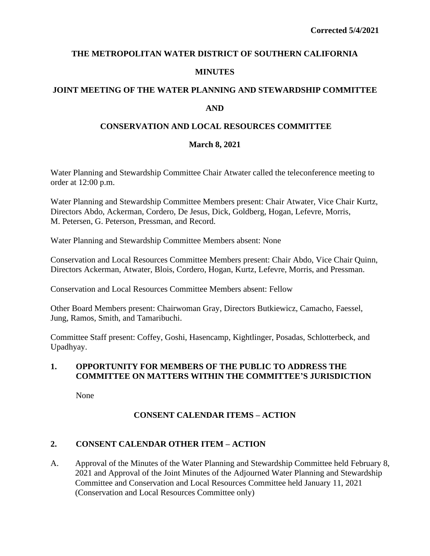# **THE METROPOLITAN WATER DISTRICT OF SOUTHERN CALIFORNIA MINUTES**

# **JOINT MEETING OF THE WATER PLANNING AND STEWARDSHIP COMMITTEE AND**

# **CONSERVATION AND LOCAL RESOURCES COMMITTEE**

# **March 8, 2021**

Water Planning and Stewardship Committee Chair Atwater called the teleconference meeting to order at 12:00 p.m.

Water Planning and Stewardship Committee Members present: Chair Atwater, Vice Chair Kurtz, Directors Abdo, Ackerman, Cordero, De Jesus, Dick, Goldberg, Hogan, Lefevre, Morris, M. Petersen, G. Peterson, Pressman, and Record.

Water Planning and Stewardship Committee Members absent: None

Conservation and Local Resources Committee Members present: Chair Abdo, Vice Chair Quinn, Directors Ackerman, Atwater, Blois, Cordero, Hogan, Kurtz, Lefevre, Morris, and Pressman.

Conservation and Local Resources Committee Members absent: Fellow

Other Board Members present: Chairwoman Gray, Directors Butkiewicz, Camacho, Faessel, Jung, Ramos, Smith, and Tamaribuchi.

Committee Staff present: Coffey, Goshi, Hasencamp, Kightlinger, Posadas, Schlotterbeck, and Upadhyay.

# **1. OPPORTUNITY FOR MEMBERS OF THE PUBLIC TO ADDRESS THE COMMITTEE ON MATTERS WITHIN THE COMMITTEE'S JURISDICTION**

None

# **CONSENT CALENDAR ITEMS – ACTION**

# **2. CONSENT CALENDAR OTHER ITEM – ACTION**

A. Approval of the Minutes of the Water Planning and Stewardship Committee held February 8, 2021 and Approval of the Joint Minutes of the Adjourned Water Planning and Stewardship Committee and Conservation and Local Resources Committee held January 11, 2021 (Conservation and Local Resources Committee only)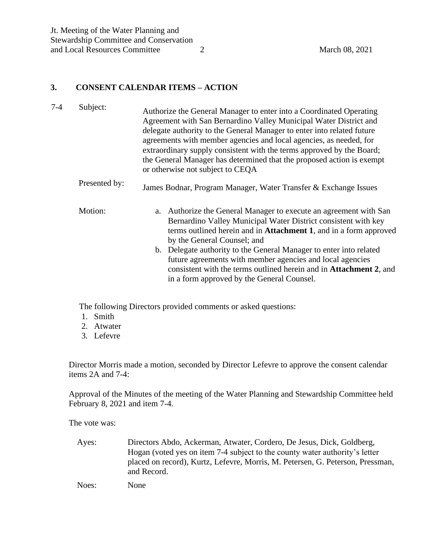#### **3. CONSENT CALENDAR ITEMS – ACTION**

- 7-4 Subject: Authorize the General Manager to enter into a Coordinated Operating Agreement with San Bernardino Valley Municipal Water District and delegate authority to the General Manager to enter into related future agreements with member agencies and local agencies, as needed, for extraordinary supply consistent with the terms approved by the Board; the General Manager has determined that the proposed action is exempt or otherwise not subject to CEQA Presented by: James Bodnar, Program Manager, Water Transfer & Exchange Issues Motion: a. Authorize the General Manager to execute an agreement with San Bernardino Valley Municipal Water District consistent with key terms outlined herein and in **Attachment 1**, and in a form approved
	- by the General Counsel; and b. Delegate authority to the General Manager to enter into related future agreements with member agencies and local agencies consistent with the terms outlined herein and in **Attachment 2**, and in a form approved by the General Counsel.

The following Directors provided comments or asked questions:

- 1. Smith
- 2. Atwater
- 3. Lefevre

Director Morris made a motion, seconded by Director Lefevre to approve the consent calendar items 2A and 7-4:

Approval of the Minutes of the meeting of the Water Planning and Stewardship Committee held February 8, 2021 and item 7-4.

The vote was:

Ayes: Directors Abdo, Ackerman, Atwater, Cordero, De Jesus, Dick, Goldberg, Hogan (voted yes on item 7-4 subject to the county water authority's letter placed on record), Kurtz, Lefevre, Morris, M. Petersen, G. Peterson, Pressman, and Record.

Noes: None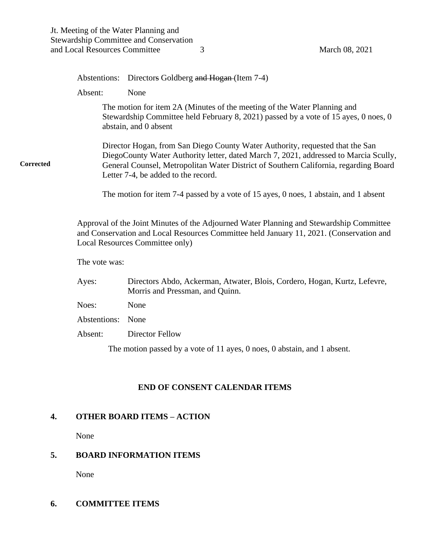Abstentions: Directors Goldberg and Hogan (Item 7-4) Absent: None The motion for item 2A (Minutes of the meeting of the Water Planning and Stewardship Committee held February 8, 2021) passed by a vote of 15 ayes, 0 noes, 0 abstain, and 0 absent Director Hogan, from San Diego County Water Authority, requested that the San DiegoCounty Water Authority letter, dated March 7, 2021, addressed to Marcia Scully, General Counsel, Metropolitan Water District of Southern California, regarding Board Letter 7-4, be added to the record. The motion for item 7-4 passed by a vote of 15 ayes, 0 noes, 1 abstain, and 1 absent Approval of the Joint Minutes of the Adjourned Water Planning and Stewardship Committee and Conservation and Local Resources Committee held January 11, 2021. (Conservation and Local Resources Committee only) The vote was: Ayes: Directors Abdo, Ackerman, Atwater, Blois, Cordero, Hogan, Kurtz, Lefevre,

Morris and Pressman, and Quinn. Noes: None Abstentions: None

Absent: Director Fellow

The motion passed by a vote of 11 ayes, 0 noes, 0 abstain, and 1 absent.

#### **END OF CONSENT CALENDAR ITEMS**

#### **4. OTHER BOARD ITEMS – ACTION**

None

**Corrected**

# **5. BOARD INFORMATION ITEMS**

None

#### **6. COMMITTEE ITEMS**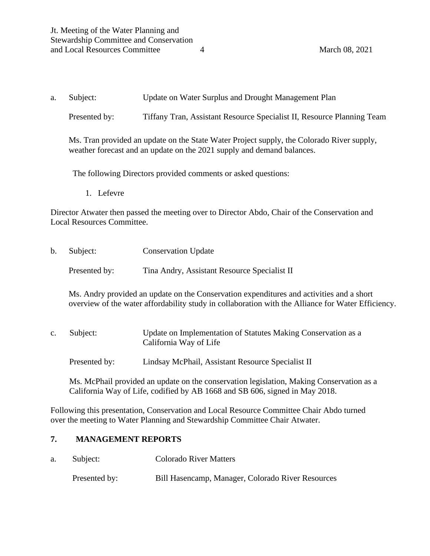a. Subject: Update on Water Surplus and Drought Management Plan

Presented by: Tiffany Tran, Assistant Resource Specialist II, Resource Planning Team

Ms. Tran provided an update on the State Water Project supply, the Colorado River supply, weather forecast and an update on the 2021 supply and demand balances.

The following Directors provided comments or asked questions:

1. Lefevre

Director Atwater then passed the meeting over to Director Abdo, Chair of the Conservation and Local Resources Committee.

b. Subject: Conservation Update Presented by: Tina Andry, Assistant Resource Specialist II

Ms. Andry provided an update on the Conservation expenditures and activities and a short overview of the water affordability study in collaboration with the Alliance for Water Efficiency.

- c. Subject: Update on Implementation of Statutes Making Conservation as a California Way of Life
	- Presented by: Lindsay McPhail, Assistant Resource Specialist II

Ms. McPhail provided an update on the conservation legislation, Making Conservation as a California Way of Life, codified by AB 1668 and SB 606, signed in May 2018.

Following this presentation, Conservation and Local Resource Committee Chair Abdo turned over the meeting to Water Planning and Stewardship Committee Chair Atwater.

#### **7. MANAGEMENT REPORTS**

a. Subject: Colorado River Matters

Presented by: Bill Hasencamp, Manager, Colorado River Resources